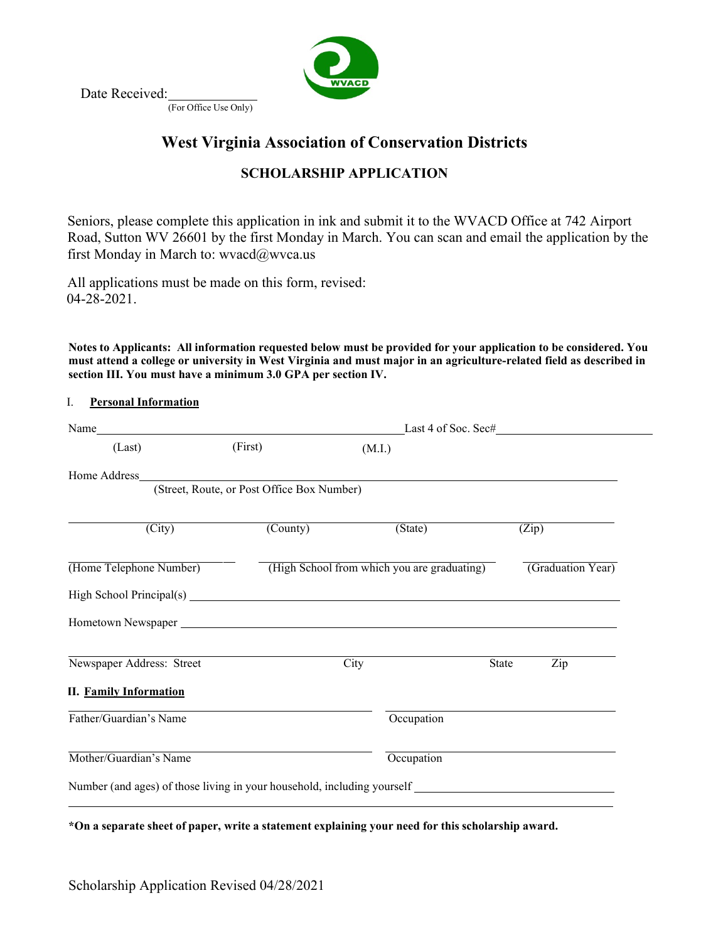

Date Received:

(For Office Use Only)

# **West Virginia Association of Conservation Districts**

## **SCHOLARSHIP APPLICATION**

Seniors, please complete this application in ink and submit it to the WVACD Office at 742 Airport Road, Sutton WV 26601 by the first Monday in March. You can scan and email the application by the first Monday in March to: [wvacd@wvca.us](mailto:wvacd@wvca.us)

All applications must be made on this form, revised: 04-28-2021.

Notes to Applicants: All information requested below must be provided for your application to be considered. You **must attend a college or university in West Virginia and must major in an agriculture-related field as described in section III. You must have a minimum 3.0 GPA per section IV.**

## I. **Personal Information**

|                               |                                            | Last 4 of Soc. Sec#                                                     |              |                   |  |
|-------------------------------|--------------------------------------------|-------------------------------------------------------------------------|--------------|-------------------|--|
| (Last)                        | (First)                                    | (M.I.)                                                                  |              |                   |  |
| Home Address                  |                                            |                                                                         |              |                   |  |
|                               | (Street, Route, or Post Office Box Number) |                                                                         |              |                   |  |
| $\overline{(City)}$           | $\overline{\text{(Country)}}$              | (State)                                                                 |              | (Zip)             |  |
| (Home Telephone Number)       |                                            | (High School from which you are graduating)                             |              | (Graduation Year) |  |
|                               |                                            |                                                                         |              |                   |  |
|                               |                                            |                                                                         |              |                   |  |
| Newspaper Address: Street     |                                            | City                                                                    | <b>State</b> | Zip               |  |
| <b>II.</b> Family Information |                                            |                                                                         |              |                   |  |
| Father/Guardian's Name        |                                            | Occupation                                                              |              |                   |  |
| Mother/Guardian's Name        |                                            | Occupation                                                              |              |                   |  |
|                               |                                            | Number (and ages) of those living in your household, including yourself |              |                   |  |
|                               |                                            |                                                                         |              |                   |  |

**\*On a separate sheet of paper, write a statement explaining your need for this scholarship award.**